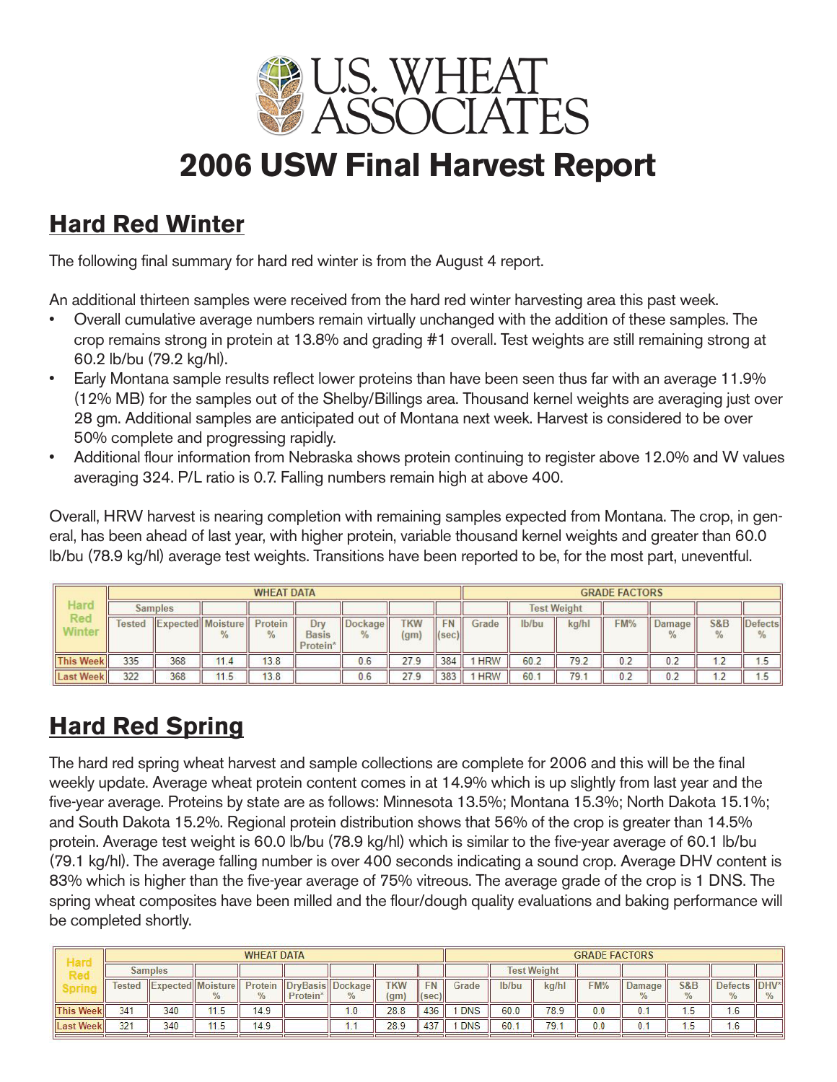

# **2006 USW Final Harvest Report**

#### **Hard Red Winter**

The following final summary for hard red winter is from the August 4 report.

An additional thirteen samples were received from the hard red winter harvesting area this past week.

- Overall cumulative average numbers remain virtually unchanged with the addition of these samples. The crop remains strong in protein at 13.8% and grading #1 overall. Test weights are still remaining strong at 60.2 lb/bu (79.2 kg/hl).
- Early Montana sample results reflect lower proteins than have been seen thus far with an average 11.9% (12% MB) for the samples out of the Shelby/Billings area. Thousand kernel weights are averaging just over 28 gm. Additional samples are anticipated out of Montana next week. Harvest is considered to be over 50% complete and progressing rapidly.
- Additional flour information from Nebraska shows protein continuing to register above 12.0% and W values averaging 324. P/L ratio is 0.7. Falling numbers remain high at above 400.

Overall, HRW harvest is nearing completion with remaining samples expected from Montana. The crop, in general, has been ahead of last year, with higher protein, variable thousand kernel weights and greater than 60.0 lb/bu (78.9 kg/hl) average test weights. Transitions have been reported to be, for the most part, uneventful.

|                  |                | <b>WHEAT DATA</b>        |      |                          |                                             |                          |                                 |                                    |            |                    | <b>GRADE FACTORS</b> |     |        |                     |                                 |  |  |  |  |
|------------------|----------------|--------------------------|------|--------------------------|---------------------------------------------|--------------------------|---------------------------------|------------------------------------|------------|--------------------|----------------------|-----|--------|---------------------|---------------------------------|--|--|--|--|
| Hard             | <b>Samples</b> |                          |      |                          |                                             |                          |                                 |                                    |            | <b>Test Weight</b> |                      |     |        |                     |                                 |  |  |  |  |
| Red<br>Ninter    | <b>Tested</b>  | <b>Expected Moisture</b> | $\%$ | Protein<br>$\frac{9}{6}$ | Drv<br><b>Basis</b><br>Protein <sup>*</sup> | Dockage<br>$\frac{9}{6}$ | <b>TKW</b><br>(g <sub>m</sub> ) | <b>FN</b><br>$\vert$ (sec) $\vert$ | Grade      | lb/bu              | kg/hl                | FM% | Damage | <b>S&amp;B</b><br>℅ | <b>Defects</b><br>$\frac{0}{6}$ |  |  |  |  |
| <b>This Week</b> | 335            | 368                      | 11.4 | 13.8                     |                                             | 0.6                      | 27.9                            | 384                                | <b>HRW</b> | 60.2               | 79.2                 | 0.2 | 0.2    |                     | <b>Broad</b>                    |  |  |  |  |
| <b>Last Week</b> | 322            | 368                      | 11.5 | 13.8                     |                                             | 0.6                      | 27.9                            | 383                                | <b>HRW</b> | 60.                | 79.1                 | 0.2 | 0.2    |                     |                                 |  |  |  |  |

## **Hard Red Spring**

The hard red spring wheat harvest and sample collections are complete for 2006 and this will be the final weekly update. Average wheat protein content comes in at 14.9% which is up slightly from last year and the five-year average. Proteins by state are as follows: Minnesota 13.5%; Montana 15.3%; North Dakota 15.1%; and South Dakota 15.2%. Regional protein distribution shows that 56% of the crop is greater than 14.5% protein. Average test weight is 60.0 lb/bu (78.9 kg/hl) which is similar to the five-year average of 60.1 lb/bu (79.1 kg/hl). The average falling number is over 400 seconds indicating a sound crop. Average DHV content is 83% which is higher than the five-year average of 75% vitreous. The average grade of the crop is 1 DNS. The spring wheat composites have been milled and the flour/dough quality evaluations and baking performance will be completed shortly.

|                  |                |                     |      | <b>WHEAT DATA</b> |                 |                   |                   | <b>GRADE FACTORS</b>  |            |                    |       |     |        |                |                |      |  |
|------------------|----------------|---------------------|------|-------------------|-----------------|-------------------|-------------------|-----------------------|------------|--------------------|-------|-----|--------|----------------|----------------|------|--|
|                  | <b>Samples</b> |                     |      |                   |                 |                   |                   |                       |            | <b>Test Weight</b> |       |     |        |                |                |      |  |
|                  | lested         | "Expected  Moisture |      | Protein           | <b>DryBasis</b> | <b>II</b> Dockage | <b>TKW</b>        |                       | Grade      | lb/bu              | ka/hl | FM% | Damage | <b>S&amp;B</b> | <b>Defects</b> | DHV* |  |
|                  |                |                     |      |                   | Protein         |                   | (g <sub>m</sub> ) | $\vert$ (sec) $\vert$ |            |                    |       |     |        |                |                |      |  |
| <b>This Week</b> | 341            | 340                 | 11.5 | 14.9              |                 | 1.0               | 28.8              | 436                   | <b>DNS</b> | 60.0               | 78.9  | 0.0 | 0.1    | .5             | 1.6            |      |  |
| <b>Last Week</b> | 321            | 340                 | 11.5 | 14.9              |                 | $\cdots$          | 28.9              | 437                   | <b>DNS</b> | 60.                | 79.1  | 0.0 | 0.1    | I.5            | 1.6            |      |  |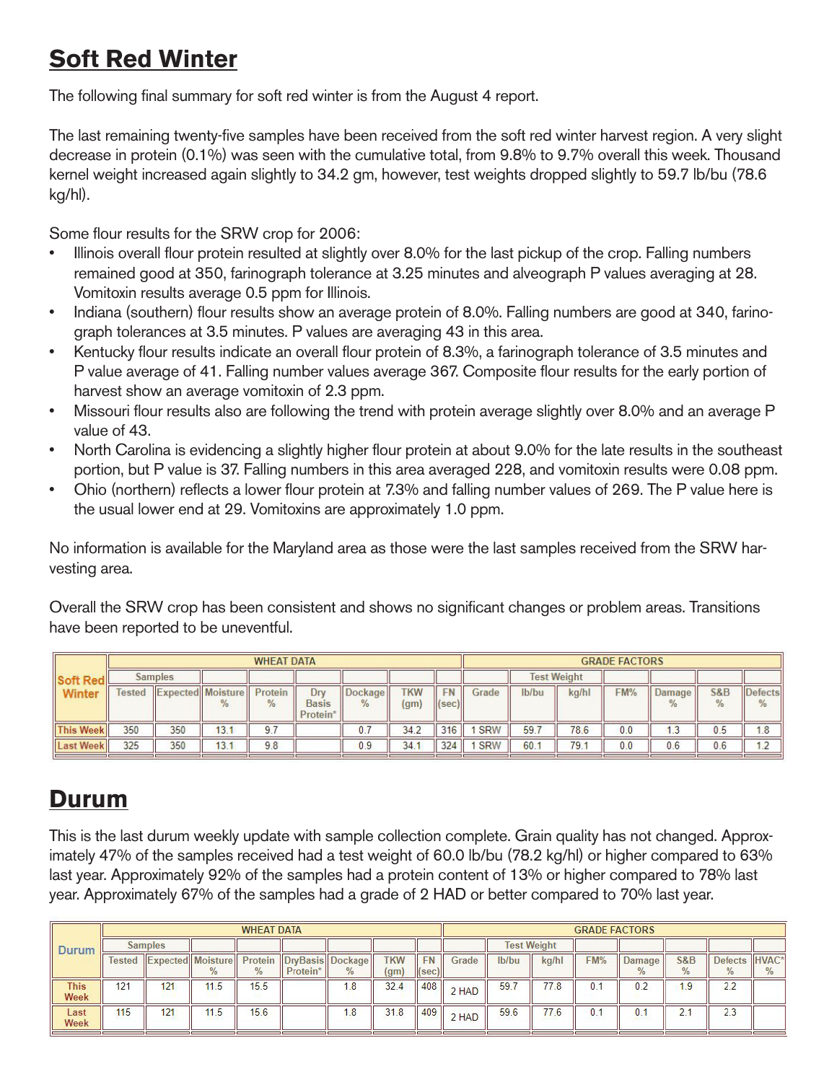### **Soft Red Winter**

The following final summary for soft red winter is from the August 4 report.

The last remaining twenty-five samples have been received from the soft red winter harvest region. A very slight decrease in protein (0.1%) was seen with the cumulative total, from 9.8% to 9.7% overall this week. Thousand kernel weight increased again slightly to 34.2 gm, however, test weights dropped slightly to 59.7 lb/bu (78.6 kg/hl).

Some flour results for the SRW crop for 2006:

- Illinois overall flour protein resulted at slightly over 8.0% for the last pickup of the crop. Falling numbers remained good at 350, farinograph tolerance at 3.25 minutes and alveograph P values averaging at 28. Vomitoxin results average 0.5 ppm for Illinois.
- Indiana (southern) flour results show an average protein of 8.0%. Falling numbers are good at 340, farinograph tolerances at 3.5 minutes. P values are averaging 43 in this area.
- Kentucky flour results indicate an overall flour protein of 8.3%, a farinograph tolerance of 3.5 minutes and P value average of 41. Falling number values average 367. Composite flour results for the early portion of harvest show an average vomitoxin of 2.3 ppm.
- Missouri flour results also are following the trend with protein average slightly over 8.0% and an average P value of 43.
- North Carolina is evidencing a slightly higher flour protein at about 9.0% for the late results in the southeast portion, but P value is 37. Falling numbers in this area averaged 228, and vomitoxin results were 0.08 ppm.
- Ohio (northern) reflects a lower flour protein at 7.3% and falling number values of 269. The P value here is the usual lower end at 29. Vomitoxins are approximately 1.0 ppm.

No information is available for the Maryland area as those were the last samples received from the SRW harvesting area.

Overall the SRW crop has been consistent and shows no significant changes or problem areas. Transitions have been reported to be uneventful.

|                  |        |                          |      | <b>WHEAT DATA</b>        |                                 |                                 | <b>GRADE FACTORS</b>            |                              |            |                    |       |     |             |                                 |           |
|------------------|--------|--------------------------|------|--------------------------|---------------------------------|---------------------------------|---------------------------------|------------------------------|------------|--------------------|-------|-----|-------------|---------------------------------|-----------|
| Soft Red         |        | <b>Samples</b>           |      |                          |                                 |                                 |                                 |                              |            | <b>Test Weight</b> |       |     |             |                                 |           |
| Winter           | Tested | <b>Expected Moisture</b> | 70   | Protein<br>$\frac{9}{6}$ | Drv<br><b>Basis</b><br>Protein* | <b>Dockage</b><br>$\frac{9}{6}$ | <b>TKW</b><br>(g <sub>m</sub> ) | <b>FN</b><br>$  $ (sec) $  $ | Grade      | lb/bu              | kg/hl | FM% | Damage<br>℀ | <b>S&amp;B</b><br>$\frac{9}{6}$ | Defects   |
| <b>This Week</b> | 350    | 350                      | 13.1 | 9.7                      |                                 | υ.ι                             | 34.2                            | 316                          | <b>SRW</b> | 59.                | 78.6  | 0.0 | د. ا        | 0.5                             | 1.8       |
| <b>Last Week</b> | 325    | 350                      | 13.1 | 9.8                      |                                 | 0.9                             | 34.                             | 324                          | <b>SRW</b> | 60.                | 79.   | 0.0 | 0.6         | 0.6                             | $\lambda$ |

#### **Durum**

This is the last durum weekly update with sample collection complete. Grain quality has not changed. Approximately 47% of the samples received had a test weight of 60.0 lb/bu (78.2 kg/hl) or higher compared to 63% last year. Approximately 92% of the samples had a protein content of 13% or higher compared to 78% last year. Approximately 67% of the samples had a grade of 2 HAD or better compared to 70% last year.

|                     | <b>WHEAT DATA</b> |     |                          |              |                              |      |                                 |                      |       | <b>GRADE FACTORS</b> |       |     |                         |                |                |       |  |  |
|---------------------|-------------------|-----|--------------------------|--------------|------------------------------|------|---------------------------------|----------------------|-------|----------------------|-------|-----|-------------------------|----------------|----------------|-------|--|--|
| Durum               | <b>Samples</b>    |     |                          |              |                              |      |                                 |                      |       | <b>Test Weight</b>   |       |     |                         |                |                |       |  |  |
|                     | lested            |     | <b>Expected Moisture</b> | Protein<br>% | DryBasis Dockage<br>Protein* | $\%$ | <b>TKW</b><br>(g <sub>m</sub> ) | <b>FN</b><br>  (sec) | Grade | lb/bu                | kg/hl | FM% | Damage<br>$\frac{9}{6}$ | <b>S&amp;B</b> | <b>Defects</b> | HVAC* |  |  |
| <b>This</b><br>Week | 121               | 121 | 11.5                     | 15.5         |                              | 1.8  | 32.4                            | 408                  | 2 HAD | 59.                  | 77.8  | 0.1 | 0.2                     | . 9            | 2.2            |       |  |  |
| Last<br>Week        | 115               | 121 | 11.5                     | 15.6         |                              | 1.8  | 31.8                            | 409                  | 2 HAD | 59.6                 | 77.6  | 0.1 | 0.1                     | 2.             | 2.3            |       |  |  |